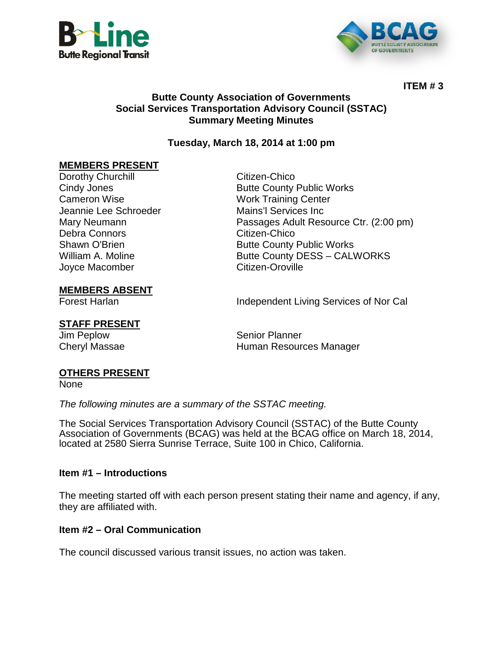



**ITEM # 3**

## **Butte County Association of Governments Social Services Transportation Advisory Council (SSTAC) Summary Meeting Minutes**

## **Tuesday, March 18, 2014 at 1:00 pm**

## **MEMBERS PRESENT**

Dorothy Churchill **Changes** Citizen-Chico Jeannie Lee Schroeder Mains'l Services Inc Debra Connors Citizen-Chico Joyce Macomber

Cindy Jones<br>
Cameron Wise<br>
Cameron Wise<br>
Cameron Wise<br>
Cameron Wise **Work Training Center** Mary Neumann Passages Adult Resource Ctr. (2:00 pm) Shawn O'Brien **Butte County Public Works** William A. Moline **Example 3 Exercise State Butte County DESS – CALWORKS**<br>Jovce Macomber **Citizen-Oroville** 

### **MEMBERS ABSENT**

Forest Harlan **Independent Living Services of Nor Cal** 

# **STAFF PRESENT**

Senior Planner Cheryl Massae **Human Resources Manager Human Resources Manager** 

### **OTHERS PRESENT**

None

*The following minutes are a summary of the SSTAC meeting.* 

The Social Services Transportation Advisory Council (SSTAC) of the Butte County Association of Governments (BCAG) was held at the BCAG office on March 18, 2014, located at 2580 Sierra Sunrise Terrace, Suite 100 in Chico, California.

### **Item #1 – Introductions**

The meeting started off with each person present stating their name and agency, if any, they are affiliated with.

### **Item #2 – Oral Communication**

The council discussed various transit issues, no action was taken.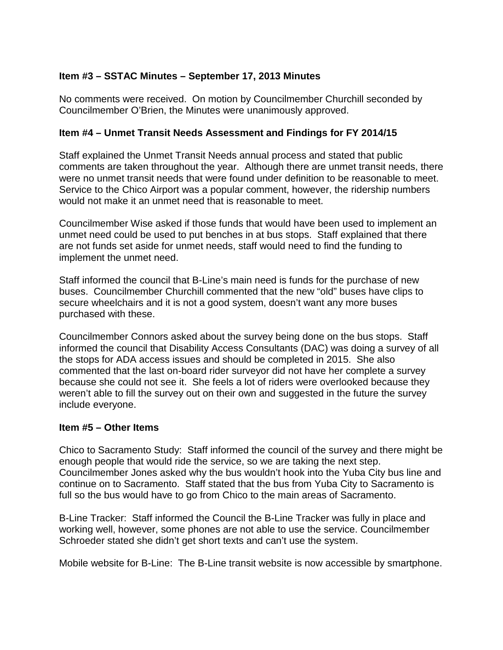## **Item #3 – SSTAC Minutes – September 17, 2013 Minutes**

No comments were received. On motion by Councilmember Churchill seconded by Councilmember O'Brien, the Minutes were unanimously approved.

### **Item #4 – Unmet Transit Needs Assessment and Findings for FY 2014/15**

Staff explained the Unmet Transit Needs annual process and stated that public comments are taken throughout the year. Although there are unmet transit needs, there were no unmet transit needs that were found under definition to be reasonable to meet. Service to the Chico Airport was a popular comment, however, the ridership numbers would not make it an unmet need that is reasonable to meet.

Councilmember Wise asked if those funds that would have been used to implement an unmet need could be used to put benches in at bus stops. Staff explained that there are not funds set aside for unmet needs, staff would need to find the funding to implement the unmet need.

Staff informed the council that B-Line's main need is funds for the purchase of new buses. Councilmember Churchill commented that the new "old" buses have clips to secure wheelchairs and it is not a good system, doesn't want any more buses purchased with these.

Councilmember Connors asked about the survey being done on the bus stops. Staff informed the council that Disability Access Consultants (DAC) was doing a survey of all the stops for ADA access issues and should be completed in 2015. She also commented that the last on-board rider surveyor did not have her complete a survey because she could not see it. She feels a lot of riders were overlooked because they weren't able to fill the survey out on their own and suggested in the future the survey include everyone.

#### **Item #5 – Other Items**

Chico to Sacramento Study: Staff informed the council of the survey and there might be enough people that would ride the service, so we are taking the next step. Councilmember Jones asked why the bus wouldn't hook into the Yuba City bus line and continue on to Sacramento. Staff stated that the bus from Yuba City to Sacramento is full so the bus would have to go from Chico to the main areas of Sacramento.

B-Line Tracker: Staff informed the Council the B-Line Tracker was fully in place and working well, however, some phones are not able to use the service. Councilmember Schroeder stated she didn't get short texts and can't use the system.

Mobile website for B-Line: The B-Line transit website is now accessible by smartphone.